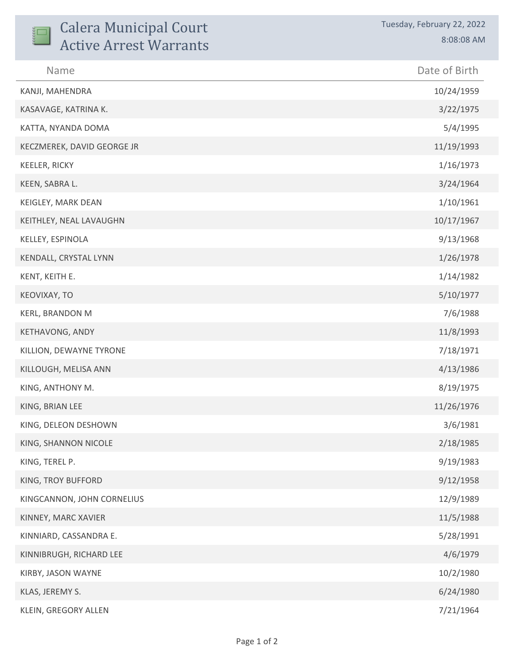| <b>Calera Municipal Court</b><br><b>Active Arrest Warrants</b> | Tuesday, February 22, 2022<br>8:08:08 AM |
|----------------------------------------------------------------|------------------------------------------|
| Name                                                           | Date of Birth                            |
| KANJI, MAHENDRA                                                | 10/24/1959                               |
| KASAVAGE, KATRINA K.                                           | 3/22/1975                                |
| KATTA, NYANDA DOMA                                             | 5/4/1995                                 |
| KECZMEREK, DAVID GEORGE JR                                     | 11/19/1993                               |
| KEELER, RICKY                                                  | 1/16/1973                                |
| KEEN, SABRA L.                                                 | 3/24/1964                                |
| KEIGLEY, MARK DEAN                                             | 1/10/1961                                |
| KEITHLEY, NEAL LAVAUGHN                                        | 10/17/1967                               |
| KELLEY, ESPINOLA                                               | 9/13/1968                                |
| KENDALL, CRYSTAL LYNN                                          | 1/26/1978                                |
| KENT, KEITH E.                                                 | 1/14/1982                                |
| KEOVIXAY, TO                                                   | 5/10/1977                                |
| KERL, BRANDON M                                                | 7/6/1988                                 |
| KETHAVONG, ANDY                                                | 11/8/1993                                |
| KILLION, DEWAYNE TYRONE                                        | 7/18/1971                                |
| KILLOUGH, MELISA ANN                                           | 4/13/1986                                |
| KING, ANTHONY M.                                               | 8/19/1975                                |
| KING, BRIAN LEE                                                | 11/26/1976                               |
| KING, DELEON DESHOWN                                           | 3/6/1981                                 |
| KING, SHANNON NICOLE                                           | 2/18/1985                                |
| KING, TEREL P.                                                 | 9/19/1983                                |
| KING, TROY BUFFORD                                             | 9/12/1958                                |
| KINGCANNON, JOHN CORNELIUS                                     | 12/9/1989                                |
| KINNEY, MARC XAVIER                                            | 11/5/1988                                |
| KINNIARD, CASSANDRA E.                                         | 5/28/1991                                |
| KINNIBRUGH, RICHARD LEE                                        | 4/6/1979                                 |
| KIRBY, JASON WAYNE                                             | 10/2/1980                                |
| KLAS, JEREMY S.                                                | 6/24/1980                                |
| KLEIN, GREGORY ALLEN                                           | 7/21/1964                                |